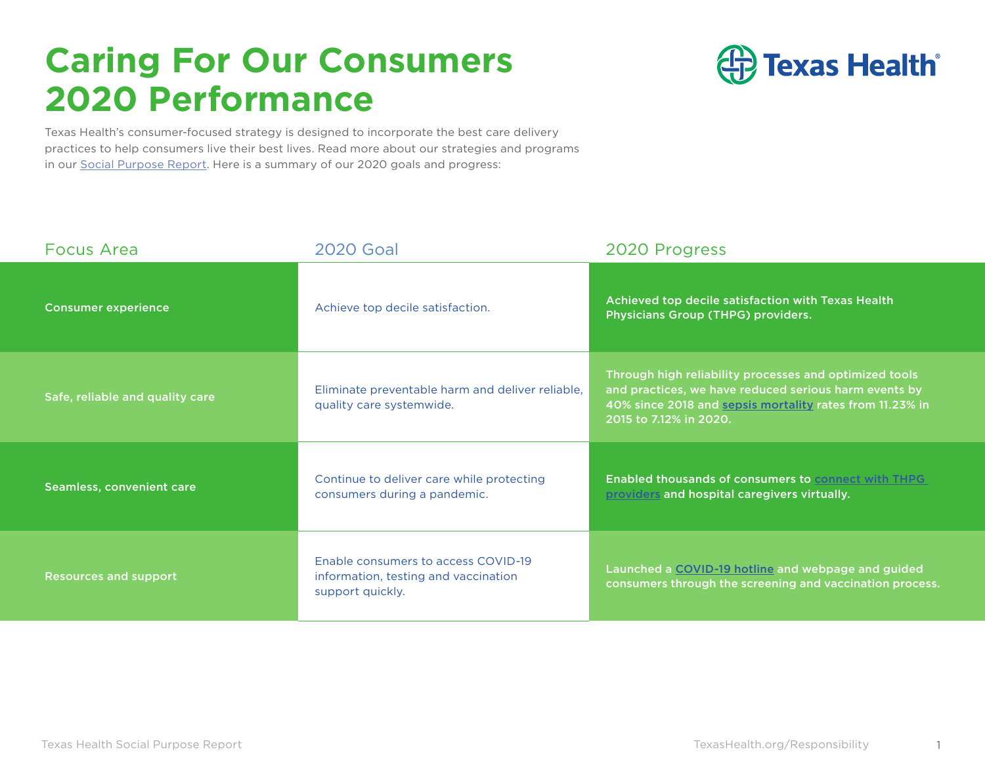### **Caring For Our Consumers 2020 Performance**



Texas Health's consumer-focused strategy is designed to incorporate the best care delivery practices to help consumers live their best lives. Read more about our strategies and programs in our [Social Purpose Report](https://www.texashealth.org/responsibility/). Here is a summary of our 2020 goals and progress:

| <b>Focus Area</b>               | <b>2020 Goal</b>                                                                                | 2020 Progress                                                                                                                                                                                         |
|---------------------------------|-------------------------------------------------------------------------------------------------|-------------------------------------------------------------------------------------------------------------------------------------------------------------------------------------------------------|
| <b>Consumer experience</b>      | Achieve top decile satisfaction.                                                                | Achieved top decile satisfaction with Texas Health<br>Physicians Group (THPG) providers.                                                                                                              |
| Safe, reliable and quality care | Eliminate preventable harm and deliver reliable,<br>quality care systemwide.                    | Through high reliability processes and optimized tools<br>and practices, we have reduced serious harm events by<br>40% since 2018 and sepsis mortality rates from 11.23% in<br>2015 to 7.12% in 2020. |
| Seamless, convenient care       | Continue to deliver care while protecting<br>consumers during a pandemic.                       | <b>Enabled thousands of consumers to connect with THPG</b><br>providers and hospital caregivers virtually.                                                                                            |
| <b>Resources and support</b>    | Enable consumers to access COVID-19<br>information, testing and vaccination<br>support quickly. | Launched a COVID-19 hotline and webpage and guided<br>consumers through the screening and vaccination process.                                                                                        |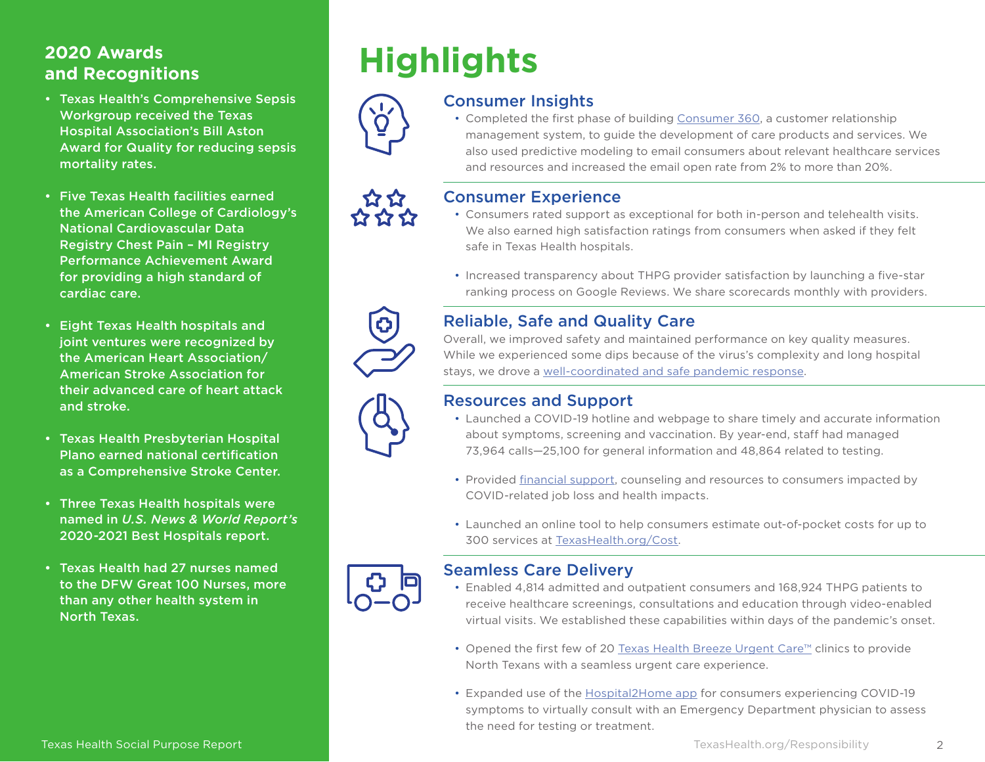# **and Recognitions**

- Texas Health's Comprehensive Sepsis Workgroup received the Texas Hospital Association's Bill Aston Award for Quality for reducing sepsis mortality rates.
- Five Texas Health facilities earned the American College of Cardiology's National Cardiovascular Data Registry Chest Pain – MI Registry Performance Achievement Award for providing a high standard of cardiac care.
- Eight Texas Health hospitals and joint ventures were recognized by the American Heart Association/ American Stroke Association for their advanced care of heart attack and stroke.
- Texas Health Presbyterian Hospital Plano earned national certification as a Comprehensive Stroke Center.
- Three Texas Health hospitals were named in *U.S. News & World Report's* 2020-2021 Best Hospitals report.
- Texas Health had 27 nurses named to the DFW Great 100 Nurses, more than any other health system in North Texas.

# **Highlights 2020 Awards**



### Consumer Insights

• Completed the first phase of building [Consumer 360](https://www.texashealth.org/responsibility/Our-Consumers/Consumer-Insights), a customer relationship management system, to guide the development of care products and services. We also used predictive modeling to email consumers about relevant healthcare services and resources and increased the email open rate from 2% to more than 20%.



### Consumer Experience

- Consumers rated support as exceptional for both in-person and telehealth visits. We also earned high satisfaction ratings from consumers when asked if they felt safe in Texas Health hospitals.
- Increased transparency about THPG provider satisfaction by launching a five-star ranking process on Google Reviews. We share scorecards monthly with providers.



### Reliable, Safe and Quality Care

Overall, we improved safety and maintained performance on key quality measures. While we experienced some dips because of the virus's complexity and long hospital stays, we drove a [well-coordinated and safe pandemic response](https://www.texashealth.org/responsibility/Our-Consumers/Reliable-Safe-and-Quality-Care#ClinicalResponse).



### Resources and Support

- Launched a COVID-19 hotline and webpage to share timely and accurate information about symptoms, screening and vaccination. By year-end, staff had managed 73,964 calls—25,100 for general information and 48,864 related to testing.
- Provided [financial support](https://www.texashealth.org/responsibility/Our-Consumers/Resources-and-Support#FinancialRelief), counseling and resources to consumers impacted by COVID-related job loss and health impacts.
- Launched an online tool to help consumers estimate out-of-pocket costs for up to 300 services at [TexasHealth.org/Cost](https://www.texashealth.org/about-texas-health/insurance-and-costs/get-a-cost-estimate?utm_source=Directors+and+Officers+Dec.+4%2C+2020&utm_campaign=15dbc4b688-EMAIL_CAMPAIGN_1_04_21_cost_estimatetool&utm_medium=email&utm_term=0_9e3d266868-15dbc4b688-).



#### Seamless Care Delivery

- Enabled 4,814 admitted and outpatient consumers and 168,924 THPG patients to receive healthcare screenings, consultations and education through video-enabled virtual visits. We established these capabilities within days of the pandemic's onset.
- Opened the first few of 20 [Texas Health Breeze Urgent Care™](https://breezeurgentcare.texashealth.org/en) clinics to provide North Texans with a seamless urgent care experience.
- Expanded use of the [Hospital2Home app](https://www.hospital2home.com/) for consumers experiencing COVID-19 symptoms to virtually consult with an Emergency Department physician to assess the need for testing or treatment.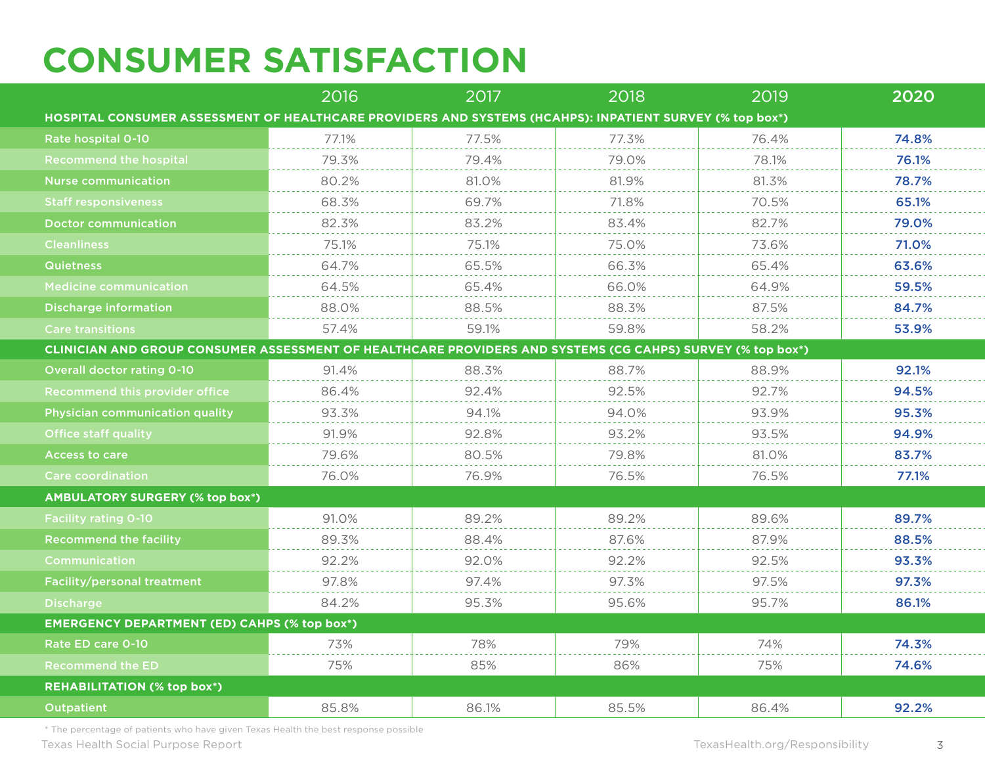# **CONSUMER SATISFACTION**

|                                                                                                            | 2016  | 2017  | 2018  | 2019  | 2020  |  |  |  |
|------------------------------------------------------------------------------------------------------------|-------|-------|-------|-------|-------|--|--|--|
| HOSPITAL CONSUMER ASSESSMENT OF HEALTHCARE PROVIDERS AND SYSTEMS (HCAHPS): INPATIENT SURVEY (% top box*)   |       |       |       |       |       |  |  |  |
| Rate hospital 0-10                                                                                         | 77.1% | 77.5% | 77.3% | 76.4% | 74.8% |  |  |  |
| <b>Recommend the hospital</b>                                                                              | 79.3% | 79.4% | 79.0% | 78.1% | 76.1% |  |  |  |
| <b>Nurse communication</b>                                                                                 | 80.2% | 81.0% | 81.9% | 81.3% | 78.7% |  |  |  |
| <b>Staff responsiveness</b>                                                                                | 68.3% | 69.7% | 71.8% | 70.5% | 65.1% |  |  |  |
| <b>Doctor communication</b>                                                                                | 82.3% | 83.2% | 83.4% | 82.7% | 79.0% |  |  |  |
| <b>Cleanliness</b>                                                                                         | 75.1% | 75.1% | 75.0% | 73.6% | 71.0% |  |  |  |
| <b>Quietness</b>                                                                                           | 64.7% | 65.5% | 66.3% | 65.4% | 63.6% |  |  |  |
| <b>Medicine communication</b>                                                                              | 64.5% | 65.4% | 66.0% | 64.9% | 59.5% |  |  |  |
| Discharge information                                                                                      | 88.0% | 88.5% | 88.3% | 87.5% | 84.7% |  |  |  |
| <b>Care transitions</b>                                                                                    | 57.4% | 59.1% | 59.8% | 58.2% | 53.9% |  |  |  |
| CLINICIAN AND GROUP CONSUMER ASSESSMENT OF HEALTHCARE PROVIDERS AND SYSTEMS (CG CAHPS) SURVEY (% top box*) |       |       |       |       |       |  |  |  |
| <b>Overall doctor rating 0-10</b>                                                                          | 91.4% | 88.3% | 88.7% | 88.9% | 92.1% |  |  |  |
| Recommend this provider office                                                                             | 86.4% | 92.4% | 92.5% | 92.7% | 94.5% |  |  |  |
| <b>Physician communication quality</b>                                                                     | 93.3% | 94.1% | 94.0% | 93.9% | 95.3% |  |  |  |
| Office staff quality                                                                                       | 91.9% | 92.8% | 93.2% | 93.5% | 94.9% |  |  |  |
| <b>Access to care</b>                                                                                      | 79.6% | 80.5% | 79.8% | 81.0% | 83.7% |  |  |  |
| <b>Care coordination</b>                                                                                   | 76.0% | 76.9% | 76.5% | 76.5% | 77.1% |  |  |  |
| <b>AMBULATORY SURGERY (% top box*)</b>                                                                     |       |       |       |       |       |  |  |  |
| <b>Facility rating 0-10</b>                                                                                | 91.0% | 89.2% | 89.2% | 89.6% | 89.7% |  |  |  |
| <b>Recommend the facility</b>                                                                              | 89.3% | 88.4% | 87.6% | 87.9% | 88.5% |  |  |  |
| Communication                                                                                              | 92.2% | 92.0% | 92.2% | 92.5% | 93.3% |  |  |  |
| Facility/personal treatment                                                                                | 97.8% | 97.4% | 97.3% | 97.5% | 97.3% |  |  |  |
| <b>Discharge</b>                                                                                           | 84.2% | 95.3% | 95.6% | 95.7% | 86.1% |  |  |  |
| <b>EMERGENCY DEPARTMENT (ED) CAHPS (% top box*)</b>                                                        |       |       |       |       |       |  |  |  |
| Rate ED care 0-10                                                                                          | 73%   | 78%   | 79%   | 74%   | 74.3% |  |  |  |
| <b>Recommend the ED</b>                                                                                    | 75%   | 85%   | 86%   | 75%   | 74.6% |  |  |  |
| <b>REHABILITATION (% top box*)</b>                                                                         |       |       |       |       |       |  |  |  |
| <b>Outpatient</b>                                                                                          | 85.8% | 86.1% | 85.5% | 86.4% | 92.2% |  |  |  |

\* The percentage of patients who have given Texas Health the best response possible